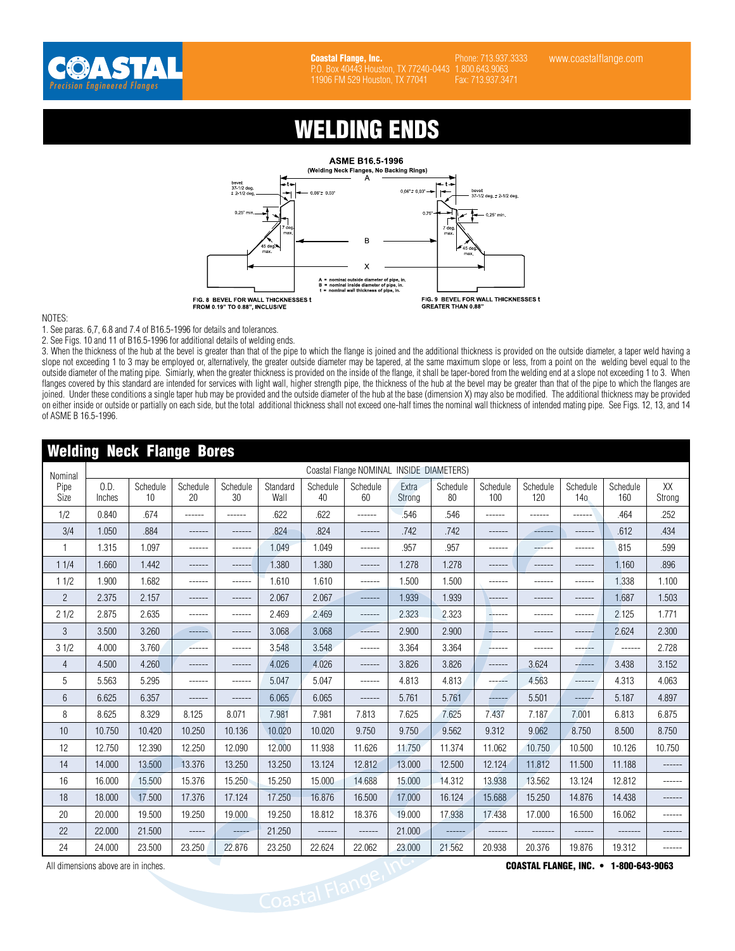

Phone: 713.937.3333 1.800.643.9063 Fax: 713.937.3471

www.coastalflange.com

## WELDING ENDS



NOTES:

1. See paras. 6,7, 6.8 and 7.4 of B16.5-1996 for details and tolerances.

2. See Figs. 10 and 11 of B16.5-1996 for additional details of welding ends.

3. When the thickness of the hub at the bevel is greater than that of the pipe to which the flange is joined and the additional thickness is provided on the outside diameter, a taper weld having a slope not exceeding 1 to 3 may be employed or, alternatively, the greater outside diameter may be tapered, at the same maximum slope or less, from a point on the welding bevel equal to the outside diameter of the mating pipe. Simiarly, when the greater thickness is provided on the inside of the flange, it shall be taper-bored from the welding end at a slope not exceeding 1 to 3. When flanges covered by this standard are intended for services with light wall, higher strength pipe, the thickness of the hub at the bevel may be greater than that of the pipe to which the flanges are joined. Under these conditions a single taper hub may be provided and the outside diameter of the hub at the base (dimension X) may also be modified. The additional thickness may be provided on either inside or outside or partially on each side, but the total additional thickness shall not exceed one-half times the nominal wall thickness of intended mating pipe. See Figs. 12, 13, and 14 of ASME B 16.5-1996.

| <b>Welding Neck Flange Bores</b> |                                          |                |                |                |                  |                |                |                 |                |                 |                 |                 |                 |              |  |
|----------------------------------|------------------------------------------|----------------|----------------|----------------|------------------|----------------|----------------|-----------------|----------------|-----------------|-----------------|-----------------|-----------------|--------------|--|
| Nominal                          | Coastal Flange NOMINAL INSIDE DIAMETERS) |                |                |                |                  |                |                |                 |                |                 |                 |                 |                 |              |  |
| Pipe<br>Size                     | 0.D.<br>Inches                           | Schedule<br>10 | Schedule<br>20 | Schedule<br>30 | Standard<br>Wall | Schedule<br>40 | Schedule<br>60 | Extra<br>Strong | Schedule<br>80 | Schedule<br>100 | Schedule<br>120 | Schedule<br>140 | Schedule<br>160 | XX<br>Strong |  |
| 1/2                              | 0.840                                    | .674           | ------         | ------         | .622             | .622           | ------         | .546            | .546           | ------          | ------          | ------          | .464            | .252         |  |
| 3/4                              | 1.050                                    | .884           | ------         | ------         | .824             | .824           | ------         | .742            | .742           |                 | ------          | ------          | .612            | .434         |  |
| $\mathbf{1}$                     | 1.315                                    | 1.097          | ------         | ------         | 1.049            | 1.049          | ------         | .957            | .957           | ------          | ------          | ------          | 815             | .599         |  |
| 11/4                             | 1.660                                    | 1.442          | ------         | ------         | 1.380            | 1.380          | ------         | 1.278           | 1.278          | ------          | ------          | ------          | 1.160           | .896         |  |
| 11/2                             | 1.900                                    | 1.682          | ------         | ------         | 1.610            | 1.610          | ------         | 1.500           | 1.500          | ------          | ------          | ------          | 1.338           | 1.100        |  |
| $\overline{2}$                   | 2.375                                    | 2.157          |                |                | 2.067            | 2.067          | ------         | 1.939           | 1.939          |                 |                 | ------          | 1.687           | 1.503        |  |
| 21/2                             | 2.875                                    | 2.635          | ------         | ------         | 2.469            | 2.469          | ------         | 2.323           | 2.323          |                 | ------          | ------          | 2.125           | 1.771        |  |
| 3                                | 3.500                                    | 3.260          |                |                | 3.068            | 3.068          | ------         | 2.900           | 2.900          |                 |                 |                 | 2.624           | 2.300        |  |
| 31/2                             | 4.000                                    | 3.760          | ------         | ------         | 3.548            | 3.548          | -------        | 3.364           | 3.364          | ------          | ------          | ------          | ------          | 2.728        |  |
| 4                                | 4.500                                    | 4.260          | ------         | ------         | 4.026            | 4.026          | ------         | 3.826           | 3.826          | ------          | 3.624           | ------          | 3.438           | 3.152        |  |
| 5                                | 5.563                                    | 5.295          | ------         | -------        | 5.047            | 5.047          | ------         | 4.813           | 4.813          | ------          | 4.563           | ------          | 4.313           | 4.063        |  |
| 6                                | 6.625                                    | 6.357          | $-----$        | $---$          | 6.065            | 6.065          | ------         | 5.761           | 5.761          | ------          | 5.501           | ------          | 5.187           | 4.897        |  |
| 8                                | 8.625                                    | 8.329          | 8.125          | 8.071          | 7.981            | 7.981          | 7.813          | 7.625           | 7.625          | 7.437           | 7.187           | 7.001           | 6.813           | 6.875        |  |
| 10                               | 10.750                                   | 10.420         | 10.250         | 10.136         | 10.020           | 10.020         | 9.750          | 9.750           | 9.562          | 9.312           | 9.062           | 8.750           | 8.500           | 8.750        |  |
| 12                               | 12.750                                   | 12.390         | 12.250         | 12.090         | 12,000           | 11.938         | 11.626         | 11.750          | 11.374         | 11.062          | 10.750          | 10.500          | 10.126          | 10.750       |  |
| 14                               | 14.000                                   | 13.500         | 13.376         | 13.250         | 13.250           | 13.124         | 12.812         | 13.000          | 12.500         | 12.124          | 11.812          | 11.500          | 11.188          | -----        |  |
| 16                               | 16.000                                   | 15.500         | 15.376         | 15.250         | 15.250           | 15.000         | 14.688         | 15,000          | 14.312         | 13.938          | 13.562          | 13.124          | 12.812          | -----        |  |
| 18                               | 18.000                                   | 17.500         | 17.376         | 17.124         | 17.250           | 16.876         | 16.500         | 17,000          | 16.124         | 15.688          | 15.250          | 14.876          | 14.438          | -----        |  |
| 20                               | 20.000                                   | 19.500         | 19.250         | 19.000         | 19.250           | 18.812         | 18.376         | 19.000          | 17.938         | 17.438          | 17.000          | 16.500          | 16.062          | ------       |  |
| 22                               | 22.000                                   | 21.500         | $--- - -$      | $--- -$        | 21.250           |                | ------         | 21.000          | ------         | ------          | ------          | -----           |                 | ------       |  |
| 24                               | 24.000                                   | 23.500         | 23.250         | 22.876         | 23.250           | 22.624         | 22.062         | 23.000          | 21.562         | 20.938          | 20.376          | 19.876          | 19.312          | ------       |  |

All dimensions above are in inches.

All dimensions above are in inches.<br>
COASTAL FLANGE, INC. • 1-800-643-9063